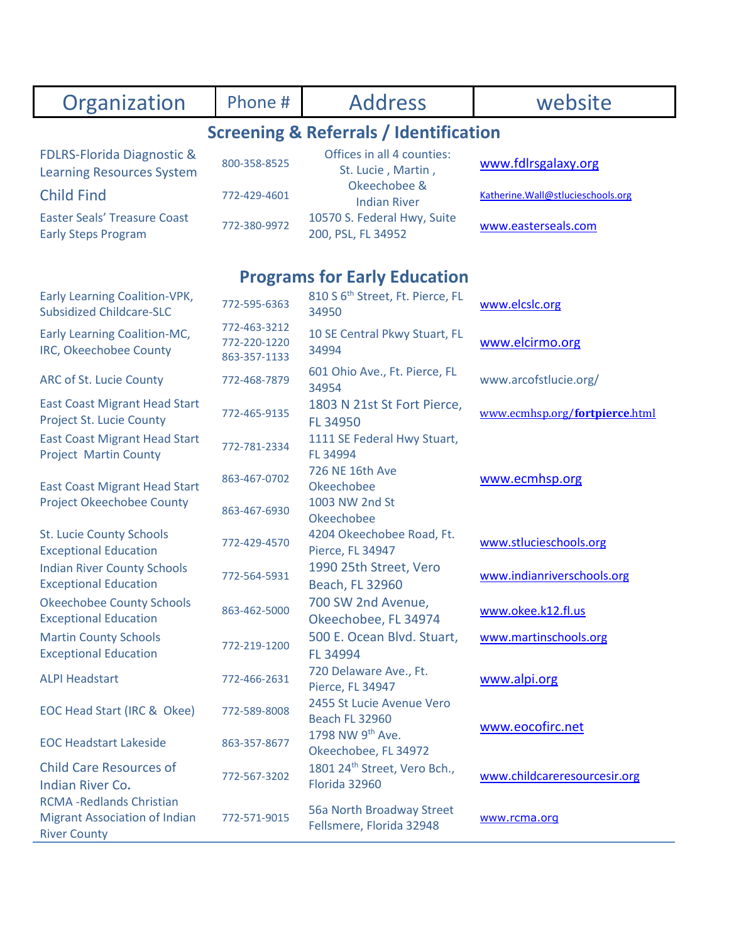| Organization                                                                                    | Phone #                                      | <b>Address</b>                                            | website                            |  |
|-------------------------------------------------------------------------------------------------|----------------------------------------------|-----------------------------------------------------------|------------------------------------|--|
| <b>Screening &amp; Referrals / Identification</b>                                               |                                              |                                                           |                                    |  |
| <b>FDLRS-Florida Diagnostic &amp;</b><br><b>Learning Resources System</b>                       | 800-358-8525                                 | Offices in all 4 counties:<br>St. Lucie, Martin,          | www.fdlrsgalaxy.org                |  |
| <b>Child Find</b>                                                                               | 772-429-4601                                 | Okeechobee &<br><b>Indian River</b>                       | Katherine. Wall@stlucieschools.org |  |
| <b>Easter Seals' Treasure Coast</b><br><b>Early Steps Program</b>                               | 772-380-9972                                 | 10570 S. Federal Hwy, Suite<br>200, PSL, FL 34952         | www.easterseals.com                |  |
|                                                                                                 |                                              | <b>Programs for Early Education</b>                       |                                    |  |
| <b>Early Learning Coalition-VPK,</b><br><b>Subsidized Childcare-SLC</b>                         | 772-595-6363                                 | 810 S 6 <sup>th</sup> Street, Ft. Pierce, FL<br>34950     | www.elcslc.org                     |  |
| Early Learning Coalition-MC,<br>IRC, Okeechobee County                                          | 772-463-3212<br>772-220-1220<br>863-357-1133 | 10 SE Central Pkwy Stuart, FL<br>34994                    | www.elcirmo.org                    |  |
| ARC of St. Lucie County                                                                         | 772-468-7879                                 | 601 Ohio Ave., Ft. Pierce, FL<br>34954                    | www.arcofstlucie.org/              |  |
| <b>East Coast Migrant Head Start</b><br><b>Project St. Lucie County</b>                         | 772-465-9135                                 | 1803 N 21st St Fort Pierce,<br>FL 34950                   | www.ecmhsp.org/fortpierce.html     |  |
| <b>East Coast Migrant Head Start</b><br><b>Project Martin County</b>                            | 772-781-2334                                 | 1111 SE Federal Hwy Stuart,<br>FL 34994                   |                                    |  |
| <b>East Coast Migrant Head Start</b>                                                            | 863-467-0702                                 | 726 NE 16th Ave<br>Okeechobee                             | www.ecmhsp.org                     |  |
| <b>Project Okeechobee County</b>                                                                | 863-467-6930                                 | 1003 NW 2nd St<br>Okeechobee                              |                                    |  |
| <b>St. Lucie County Schools</b><br><b>Exceptional Education</b>                                 | 772-429-4570                                 | 4204 Okeechobee Road, Ft.<br>Pierce, FL 34947             | www.stlucieschools.org             |  |
| <b>Indian River County Schools</b><br><b>Exceptional Education</b>                              | 772-564-5931                                 | 1990 25th Street, Vero<br>Beach, FL 32960                 | www.indianriverschools.org         |  |
| <b>Okeechobee County Schools</b><br><b>Exceptional Education</b>                                | 863-462-5000                                 | 700 SW 2nd Avenue,<br>Okeechobee, FL 34974                | www.okee.k12.fl.us                 |  |
| <b>Martin County Schools</b><br><b>Exceptional Education</b>                                    | 772-219-1200                                 | 500 E. Ocean Blvd. Stuart,<br>FL 34994                    | www.martinschools.org              |  |
| <b>ALPI Headstart</b>                                                                           | 772-466-2631                                 | 720 Delaware Ave., Ft.<br>Pierce, FL 34947                | www.alpi.org                       |  |
| EOC Head Start (IRC & Okee)                                                                     | 772-589-8008                                 | 2455 St Lucie Avenue Vero<br><b>Beach FL 32960</b>        |                                    |  |
| <b>EOC Headstart Lakeside</b>                                                                   | 863-357-8677                                 | 1798 NW 9th Ave.<br>Okeechobee, FL 34972                  | www.eocofirc.net                   |  |
| <b>Child Care Resources of</b><br>Indian River Co.                                              | 772-567-3202                                 | 1801 24 <sup>th</sup> Street, Vero Bch.,<br>Florida 32960 | www.childcareresourcesir.org       |  |
| <b>RCMA - Redlands Christian</b><br><b>Migrant Association of Indian</b><br><b>River County</b> | 772-571-9015                                 | 56a North Broadway Street<br>Fellsmere, Florida 32948     | www.rcma.org                       |  |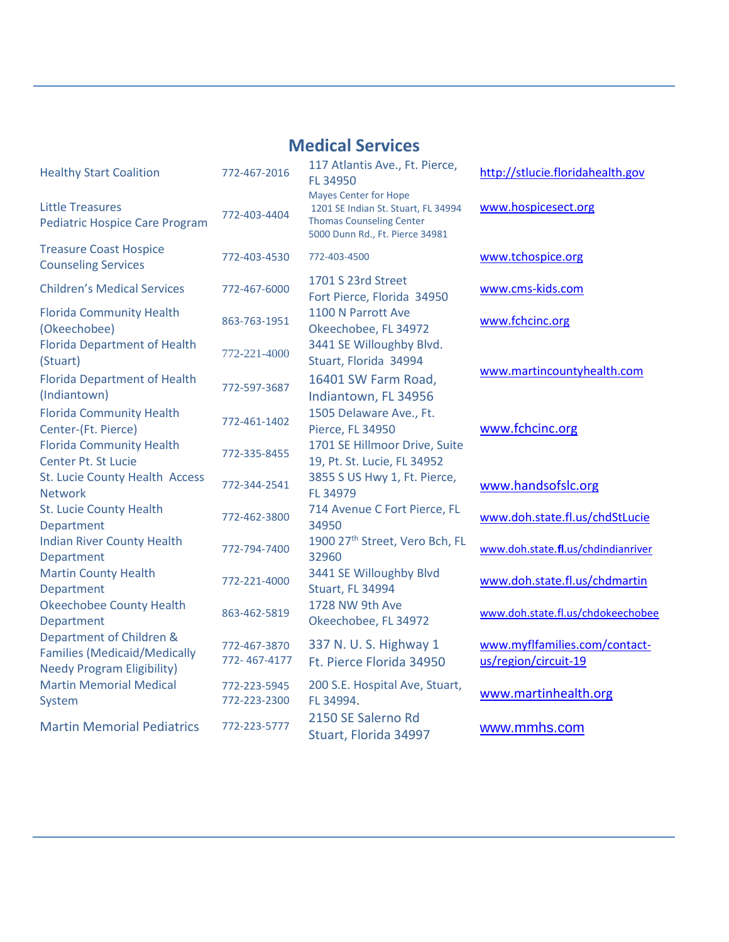#### **Medical Services**

| <b>Healthy Start Coalition</b>                                                                       | 772-467-2016                 | 117 Atlantis Ave., Ft. Pierce,<br>FL 34950                                                                                                |
|------------------------------------------------------------------------------------------------------|------------------------------|-------------------------------------------------------------------------------------------------------------------------------------------|
| <b>Little Treasures</b><br><b>Pediatric Hospice Care Program</b>                                     | 772-403-4404                 | <b>Mayes Center for Hope</b><br>1201 SE Indian St. Stuart, FL 34994<br><b>Thomas Counseling Center</b><br>5000 Dunn Rd., Ft. Pierce 34981 |
| <b>Treasure Coast Hospice</b><br><b>Counseling Services</b>                                          | 772-403-4530                 | 772-403-4500                                                                                                                              |
| <b>Children's Medical Services</b>                                                                   | 772-467-6000                 | 1701 S 23rd Street<br>Fort Pierce, Florida 34950                                                                                          |
| <b>Florida Community Health</b><br>(Okeechobee)                                                      | 863-763-1951                 | 1100 N Parrott Ave<br>Okeechobee, FL 34972                                                                                                |
| <b>Florida Department of Health</b><br>(Stuart)                                                      | 772-221-4000                 | 3441 SE Willoughby Blvd.<br>Stuart, Florida 34994                                                                                         |
| <b>Florida Department of Health</b><br>(Indiantown)                                                  | 772-597-3687                 | 16401 SW Farm Road,<br>Indiantown, FL 34956                                                                                               |
| <b>Florida Community Health</b><br>Center-(Ft. Pierce)                                               | 772-461-1402                 | 1505 Delaware Ave., Ft.<br>Pierce, FL 34950                                                                                               |
| <b>Florida Community Health</b><br>Center Pt. St Lucie                                               | 772-335-8455                 | 1701 SE Hillmoor Drive, Suite<br>19, Pt. St. Lucie, FL 34952                                                                              |
| St. Lucie County Health Access<br><b>Network</b>                                                     | 772-344-2541                 | 3855 S US Hwy 1, Ft. Pierce,<br>FL 34979                                                                                                  |
| <b>St. Lucie County Health</b><br>Department                                                         | 772-462-3800                 | 714 Avenue C Fort Pierce, FL<br>34950                                                                                                     |
| <b>Indian River County Health</b><br>Department                                                      | 772-794-7400                 | 1900 27 <sup>th</sup> Street, Vero Bch, FL<br>32960                                                                                       |
| <b>Martin County Health</b><br>Department                                                            | 772-221-4000                 | 3441 SE Willoughby Blvd<br><b>Stuart, FL 34994</b>                                                                                        |
| <b>Okeechobee County Health</b><br>Department                                                        | 863-462-5819                 | 1728 NW 9th Ave<br>Okeechobee, FL 34972                                                                                                   |
| Department of Children &<br><b>Families (Medicaid/Medically</b><br><b>Needy Program Eligibility)</b> | 772-467-3870<br>772-467-4177 | 337 N. U. S. Highway 1<br>Ft. Pierce Florida 34950                                                                                        |
| <b>Martin Memorial Medical</b><br>System                                                             | 772-223-5945<br>772-223-2300 | 200 S.E. Hospital Ave, Stuart,<br>FL 34994.                                                                                               |
| <b>Martin Memorial Pediatrics</b>                                                                    | 772-223-5777                 | 2150 SE Salerno Rd<br>Stuart Florida 34997                                                                                                |

| 117 Atlantis Ave., Ft. Pierce,<br>FL 34950<br><b>Mayes Center for Hope</b><br>1201 SE Indian St. Stuart, FL 34994<br><b>Thomas Counseling Center</b><br>5000 Dunn Rd., Ft. Pierce 34981                                                                                                                                                                                                                                                                                                                                                                 |
|---------------------------------------------------------------------------------------------------------------------------------------------------------------------------------------------------------------------------------------------------------------------------------------------------------------------------------------------------------------------------------------------------------------------------------------------------------------------------------------------------------------------------------------------------------|
| 772-403-4500                                                                                                                                                                                                                                                                                                                                                                                                                                                                                                                                            |
| 1701 S 23rd Street<br>Fort Pierce, Florida 34950<br>1100 N Parrott Ave<br>Okeechobee, FL 34972<br>3441 SE Willoughby Blvd.<br>Stuart, Florida 34994<br>16401 SW Farm Road,<br>Indiantown, FL 34956<br>1505 Delaware Ave., Ft.<br>Pierce, FL 34950<br>1701 SE Hillmoor Drive, Suite<br>19, Pt. St. Lucie, FL 34952<br>3855 S US Hwy 1, Ft. Pierce,<br>FL 34979<br>714 Avenue C Fort Pierce, FL<br>34950<br>1900 27 <sup>th</sup> Street, Vero Bch, FL<br>32960<br>3441 SE Willoughby Blvd<br>Stuart, FL 34994<br>1728 NW 9th Ave<br>Okeechobee, FL 34972 |
| 337 N. U. S. Highway 1<br>Ft. Pierce Florida 34950                                                                                                                                                                                                                                                                                                                                                                                                                                                                                                      |
| 200 S.E. Hospital Ave, Stuart,<br>FL 34994.<br>2150 SE Salerno Rd<br>Stuart, Florida 34997                                                                                                                                                                                                                                                                                                                                                                                                                                                              |

[http://stlucie.floridahealth.gov](http://stlucie.floridahealth.gov/) [www.hospicesect.org](http://www.hospicesect.org/) [www.tchospice.org](http://www.tchospice.org/) [www.cms-kids.com](http://www.cms-kids.com/) [www.fchcinc.org](http://www.fchcinc.org/) [www.martincountyhealth.com](http://www.martincountyhealth.com/) [www.fchcinc.org](http://www.fchcinc.org/) [www.handsofslc.org](http://www.handsofslc.org/) [www.doh.state.fl.us/chdStLucie](http://www.doh.state.fl.us/chdStLucie) <sup>32960</sup> www.doh.state.**fl**[.us/chdindianriver](http://www.doh.state.fl.us/chdindianriver) [www.doh.state.fl.us/chdmartin](http://www.doh.state.fl.us/chdmartin) [www.doh.state.fl.us/chdokeechobee](http://www.doh.state.fl.us/chdokeechobee) [www.myflfamilies.com/contact](http://www.myflfamilies.com/contact-us/region/circuit-19)[us/region/circuit-19](http://www.myflfamilies.com/contact-us/region/circuit-19)

[www.martinhealth.org](http://www.martinhealth.org/)

[www.mmhs.com](http://www.mmhs.com/)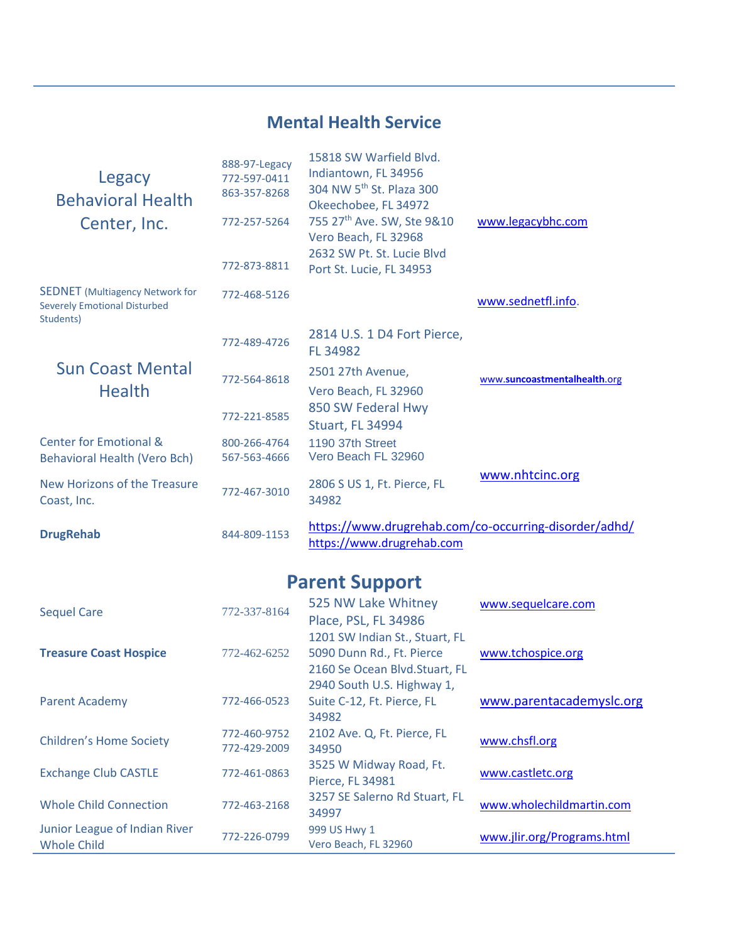#### **Mental Health Service**

| Legacy<br><b>Behavioral Health</b><br>Center, Inc.                                         | 888-97-Legacy<br>772-597-0411<br>863-357-8268<br>772-257-5264<br>772-873-8811 | 15818 SW Warfield Blyd.<br>Indiantown, FL 34956<br>304 NW 5 <sup>th</sup> St. Plaza 300<br>Okeechobee, FL 34972<br>755 27th Ave. SW, Ste 9&10<br>Vero Beach, FL 32968<br>2632 SW Pt. St. Lucie Blyd<br>Port St. Lucie, FL 34953 | www.legacybhc.com                                     |
|--------------------------------------------------------------------------------------------|-------------------------------------------------------------------------------|---------------------------------------------------------------------------------------------------------------------------------------------------------------------------------------------------------------------------------|-------------------------------------------------------|
| <b>SEDNET</b> (Multiagency Network for<br><b>Severely Emotional Disturbed</b><br>Students) | 772-468-5126                                                                  |                                                                                                                                                                                                                                 | www.sednetfl.info.                                    |
|                                                                                            | 772-489-4726                                                                  | 2814 U.S. 1 D4 Fort Pierce,<br><b>FL 34982</b>                                                                                                                                                                                  |                                                       |
| <b>Sun Coast Mental</b><br><b>Health</b>                                                   | 772-564-8618                                                                  | 2501 27th Avenue,<br>Vero Beach, FL 32960                                                                                                                                                                                       | www.suncoastmentalhealth.org                          |
|                                                                                            | 772-221-8585                                                                  | 850 SW Federal Hwy<br><b>Stuart, FL 34994</b>                                                                                                                                                                                   |                                                       |
| <b>Center for Emotional &amp;</b><br>Behavioral Health (Vero Bch)                          | 800-266-4764<br>567-563-4666                                                  | 1190 37th Street<br>Vero Beach FL 32960                                                                                                                                                                                         |                                                       |
| New Horizons of the Treasure<br>Coast, Inc.                                                | 772-467-3010                                                                  | 2806 S US 1, Ft. Pierce, FL<br>34982                                                                                                                                                                                            | www.nhtcinc.org                                       |
| <b>DrugRehab</b>                                                                           | 844-809-1153                                                                  | https://www.drugrehab.com                                                                                                                                                                                                       | https://www.drugrehab.com/co-occurring-disorder/adhd/ |

# **Parent Support**

| <b>Sequel Care</b>                                  | 772-337-8164                 | 525 NW Lake Whitney<br>Place, PSL, FL 34986                                                  | www.sequelcare.com         |
|-----------------------------------------------------|------------------------------|----------------------------------------------------------------------------------------------|----------------------------|
| <b>Treasure Coast Hospice</b>                       | 772-462-6252                 | 1201 SW Indian St., Stuart, FL<br>5090 Dunn Rd., Ft. Pierce<br>2160 Se Ocean Blvd.Stuart, FL | www.tchospice.org          |
| <b>Parent Academy</b>                               | 772-466-0523                 | 2940 South U.S. Highway 1,<br>Suite C-12, Ft. Pierce, FL<br>34982                            | www.parentacademyslc.org   |
| <b>Children's Home Society</b>                      | 772-460-9752<br>772-429-2009 | 2102 Ave. Q, Ft. Pierce, FL<br>34950                                                         | www.chsfl.org              |
| <b>Exchange Club CASTLE</b>                         | 772-461-0863                 | 3525 W Midway Road, Ft.<br>Pierce, FL 34981                                                  | www.castletc.org           |
| <b>Whole Child Connection</b>                       | 772-463-2168                 | 3257 SE Salerno Rd Stuart, FL<br>34997                                                       | www.wholechildmartin.com   |
| Junior League of Indian River<br><b>Whole Child</b> | 772-226-0799                 | 999 US Hwy 1<br>Vero Beach, FL 32960                                                         | www.jlir.org/Programs.html |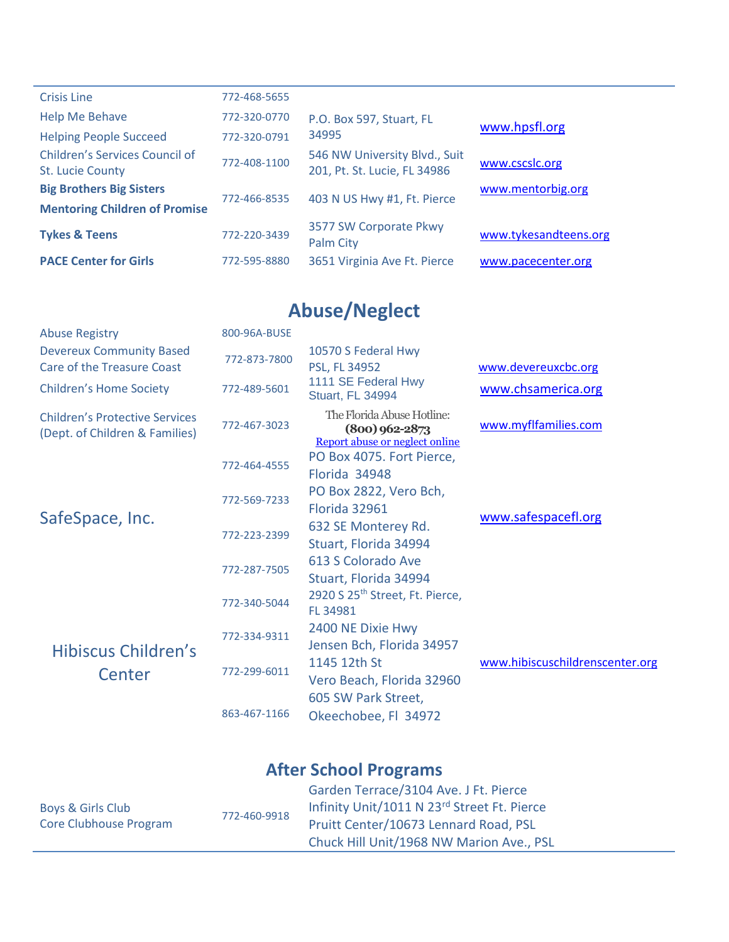| <b>Crisis Line</b>                                               | 772-468-5655 |                                                               |                       |
|------------------------------------------------------------------|--------------|---------------------------------------------------------------|-----------------------|
| <b>Help Me Behave</b>                                            | 772-320-0770 | P.O. Box 597, Stuart, FL                                      | www.hpsfl.org         |
| <b>Helping People Succeed</b>                                    | 772-320-0791 | 34995                                                         |                       |
| <b>Children's Services Council of</b><br><b>St. Lucie County</b> | 772-408-1100 | 546 NW University Blvd., Suit<br>201, Pt. St. Lucie, FL 34986 | www.cscslc.org        |
| <b>Big Brothers Big Sisters</b>                                  | 772-466-8535 | 403 N US Hwy #1, Ft. Pierce                                   | www.mentorbig.org     |
| <b>Mentoring Children of Promise</b>                             |              |                                                               |                       |
| <b>Tykes &amp; Teens</b>                                         | 772-220-3439 | 3577 SW Corporate Pkwy<br><b>Palm City</b>                    | www.tykesandteens.org |
| <b>PACE Center for Girls</b>                                     | 772-595-8880 | 3651 Virginia Ave Ft. Pierce                                  | www.pacecenter.org    |

# **Abuse/Neglect**

| <b>Abuse Registry</b>                                                   | 800-96A-BUSE |                                                                                  |                                 |
|-------------------------------------------------------------------------|--------------|----------------------------------------------------------------------------------|---------------------------------|
| <b>Devereux Community Based</b><br><b>Care of the Treasure Coast</b>    | 772-873-7800 | 10570 S Federal Hwy<br>PSL, FL 34952                                             | www.devereuxcbc.org             |
| <b>Children's Home Society</b>                                          | 772-489-5601 | 1111 SE Federal Hwy<br><b>Stuart, FL 34994</b>                                   | www.chsamerica.org              |
| <b>Children's Protective Services</b><br>(Dept. of Children & Families) | 772-467-3023 | The Florida Abuse Hotline:<br>$(800)$ 962-2873<br>Report abuse or neglect online | www.myflfamilies.com            |
| SafeSpace, Inc.                                                         | 772-464-4555 | PO Box 4075. Fort Pierce,<br>Florida 34948                                       |                                 |
|                                                                         | 772-569-7233 | PO Box 2822, Vero Bch,<br>Florida 32961                                          | www.safespacefl.org             |
|                                                                         | 772-223-2399 | 632 SE Monterey Rd.<br>Stuart, Florida 34994                                     |                                 |
|                                                                         | 772-287-7505 | 613 S Colorado Ave<br>Stuart, Florida 34994                                      |                                 |
| Hibiscus Children's<br>Center                                           | 772-340-5044 | 2920 S 25 <sup>th</sup> Street, Ft. Pierce,<br>FL 34981                          |                                 |
|                                                                         | 772-334-9311 | 2400 NE Dixie Hwy<br>Jensen Bch, Florida 34957                                   |                                 |
|                                                                         | 772-299-6011 | 1145 12th St<br>Vero Beach, Florida 32960                                        | www.hibiscuschildrenscenter.org |
|                                                                         | 863-467-1166 | 605 SW Park Street,<br>Okeechobee, Fl 34972                                      |                                 |

### **After School Programs**

|                                             |              | Garden Terrace/3104 Ave. J Ft. Pierce       |
|---------------------------------------------|--------------|---------------------------------------------|
| Boys & Girls Club<br>Core Clubhouse Program | 772-460-9918 | Infinity Unit/1011 N 23rd Street Ft. Pierce |
|                                             |              | Pruitt Center/10673 Lennard Road, PSL       |
|                                             |              | Chuck Hill Unit/1968 NW Marion Ave., PSL    |